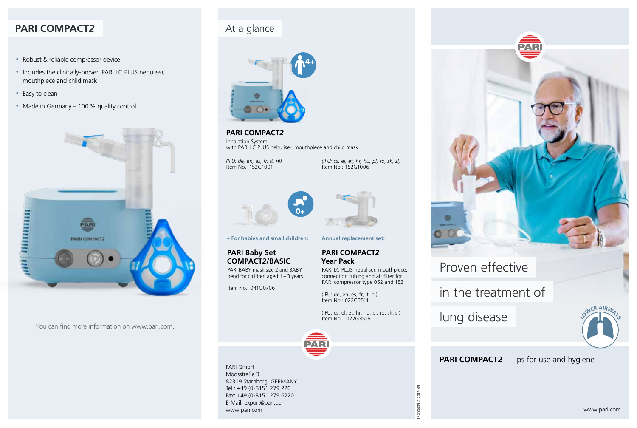# **PARI COMPACT***2*

- Robust & reliable compressor device
- Includes the clinically-proven PARI LC PLUS nebuliser, mouthpiece and child mask
- Easy to clean
- Made in Germany 100 % quality control



You can find more information on www.pari.com.

# At a glance



## **PARI COMPACT***2*

Inhalation System with PARI LC PLUS nebuliser, mouthpiece and child mask

*(IFU: de, en, es, fr, it, nl)* Item No.: 152G1001

*(IFU: cs, el, et, hr, hu, pl, ro, sk, sl)* Item No.: 152G1006



**+ For babies and small children:**

#### **PARI Baby Set COMPACT***2***/BASIC**

PARI BABY mask size 2 and BABY bend for children aged 1 – 3 years

Item No.: 041G0706



**Annual replacement set:**

#### **PARI COMPACT***2* **Year Pack**

PARI LC PLUS nebuliser, mouthpiece, connection tubing and air filter for PARI compressor type 052 and 152

(IFU: de, en, es, fr, it, nl) Item No.: 022G3511

(IFU: cs, el, et, hr, hu, pl, ro, sk, sl) Item No..: 022G3516



PARI GmbH Moosstraße 3 82319 Starnberg, GERMANY Tel.: +49 (0)8151 279 220 Fax: +49 (0)8151 279 6220 E-Mail: export@pari.de www.pari.com



# Proven effective

in the treatment of

lung disease

152D0009-A-2019-09

52D0009-

A-2019-09



### **PARI COMPACT***2* – Tips for use and hygiene